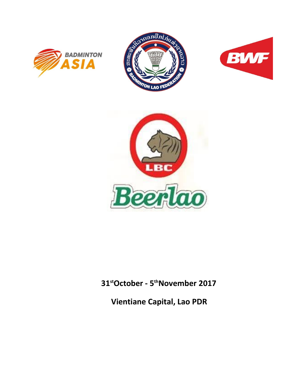







# **31stOctober - 5 thNovember 2017**

**Vientiane Capital, Lao PDR**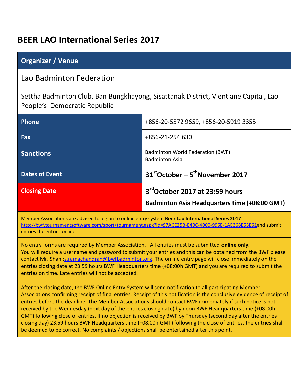# **BEER LAO International Series 2017**

| <b>Organizer / Venue</b>                                                                                            |                                                                                         |  |  |  |
|---------------------------------------------------------------------------------------------------------------------|-----------------------------------------------------------------------------------------|--|--|--|
| Lao Badminton Federation                                                                                            |                                                                                         |  |  |  |
| Settha Badminton Club, Ban Bungkhayong, Sisattanak District, Vientiane Capital, Lao<br>People's Democratic Republic |                                                                                         |  |  |  |
| <b>Phone</b>                                                                                                        | +856-20-5572 9659, +856-20-5919 3355                                                    |  |  |  |
| Fax                                                                                                                 | +856-21-254 630                                                                         |  |  |  |
| <b>Sanctions</b>                                                                                                    | Badminton World Federation (BWF)<br><b>Badminton Asia</b>                               |  |  |  |
| <b>Dates of Event</b>                                                                                               | 31stOctober - 5 <sup>th</sup> November 2017                                             |  |  |  |
| <b>Closing Date</b>                                                                                                 | 3rd October 2017 at 23:59 hours<br><b>Badminton Asia Headquarters time (+08:00 GMT)</b> |  |  |  |

Member Associations are advised to log on to online entry system **Beer Lao International Series 2017**: [http://bwf.tournamentsoftware.com/sport/tournament.aspx?id=97ACE25B-E40C-4000-996E-1AE368E53E61a](http://bwf.tournamentsoftware.com/sport/tournament.aspx?id=97ACE25B-E40C-4000-996E-1AE368E53E61)nd submit entries the entries online.

No entry forms are required by Member Association. All entries must be submitted **online only.** You will require a username and password to submit your entries and this can be obtained from the BWF please contact Mr. Shan [:s.ramachandran@bwfbadminton.org.](mailto:s.ramachandran@bwfbadminton.org) The online entry page will close immediately on the entries closing date at 23:59 hours BWF Headquarters time (+08:00h GMT) and you are required to submit the entries on time. Late entries will not be accepted.

After the closing date, the BWF Online Entry System will send notification to all participating Member Associations confirming receipt of final entries. Receipt of this notification is the conclusive evidence of receipt of entries before the deadline. The Member Associations should contact BWF immediately if such notice is not received by the Wednesday (next day of the entries closing date) by noon BWF Headquarters time (+08.00h GMT) following close of entries. If no objection is received by BWF by Thursday (second day after the entries closing day) 23.59 hours BWF Headquarters time (+08.00h GMT) following the close of entries, the entries shall be deemed to be correct. No complaints / objections shall be entertained after this point.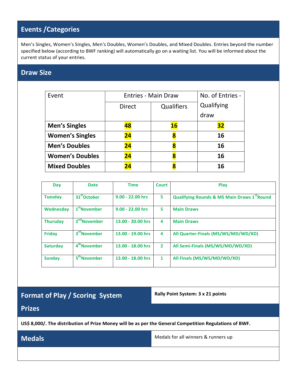# **Events /Categories**

Men's Singles, Women's Singles, Men's Doubles, Women's Doubles, and Mixed Doubles. Entries beyond the number specified below (according to BWF ranking) will automatically go on a waiting list. You will be informed about the current status of your entries.

## **Draw Size**

| Event                  | <b>Entries - Main Draw</b> | No. of Entries - |           |  |
|------------------------|----------------------------|------------------|-----------|--|
|                        | <b>Direct</b>              | Qualifying       |           |  |
|                        |                            |                  | draw      |  |
| <b>Men's Singles</b>   | 48                         | 16               | <u>32</u> |  |
| <b>Women's Singles</b> | 24                         | 8                | 16        |  |
| <b>Men's Doubles</b>   | 24                         | 8                | 16        |  |
| <b>Women's Doubles</b> | 24                         | 8                | 16        |  |
| <b>Mixed Doubles</b>   | 24                         | 8                | 16        |  |

| Day             | <b>Date</b>              | <b>Time</b>        | <b>Court</b>   | Play                                                   |
|-----------------|--------------------------|--------------------|----------------|--------------------------------------------------------|
| <b>Tuesday</b>  | 31 <sup>st</sup> October | $9.00 - 22.00$ hrs | 5              | <b>Qualifying Rounds &amp; MS Main Draws 1st Round</b> |
| Wednesday       | 1 <sup>st</sup> November | $9.00 - 22.00$ hrs | 5              | <b>Main Draws</b>                                      |
| <b>Thursday</b> | 2 <sup>nd</sup> November | 13.00 - 20.00 hrs  | 4              | <b>Main Draws</b>                                      |
| <b>Friday</b>   | 3 <sup>rd</sup> November | 13.00 - 19.00 hrs  | 4              | All Quarter-Finals (MS/WS/MD/WD/XD)                    |
| <b>Saturday</b> | 4 <sup>th</sup> November | 13.00 - 18.00 hrs  | $\overline{2}$ | All Semi-Finals (MS/WS/MD/WD/XD)                       |
| <b>Sunday</b>   | 5 <sup>th</sup> November | 13.00 - 18.00 hrs  | 1              | All Finals (MS/WS/MD/WD/XD)                            |

# **Format of Play / Scoring System Rally Point System: 3 x 21 points**

## **Prizes**

**US\$ 8,000/. The distribution of Prize Money will be as per the General Competition Regulations of BWF.**

**Medals Medals Medals Medals Medals Medals** for all winners & runners up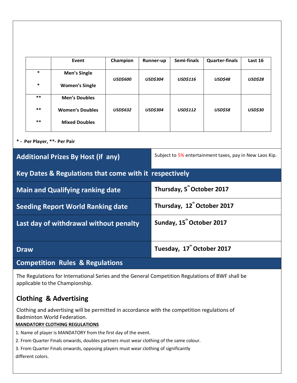|                                          |                                           | Event                                                  | Champion                             |                                                         | Runner-up       | Semi-finals     | <b>Quarter-finals</b> | Last 16        |
|------------------------------------------|-------------------------------------------|--------------------------------------------------------|--------------------------------------|---------------------------------------------------------|-----------------|-----------------|-----------------------|----------------|
|                                          | $\ast$                                    | <b>Men's Single</b>                                    | <b>USD\$600</b>                      | <b>USD\$304</b>                                         |                 | USD\$116        | <b>USD\$48</b>        | <b>USD\$28</b> |
|                                          | ∗                                         | <b>Women's Single</b>                                  |                                      |                                                         |                 |                 |                       |                |
|                                          | $***$                                     | <b>Men's Doubles</b>                                   |                                      |                                                         |                 |                 |                       |                |
|                                          | $***$                                     | <b>Women's Doubles</b>                                 | <b>USD\$632</b>                      |                                                         | <b>USD\$304</b> | <b>USD\$112</b> | USD\$58               | <b>USD\$30</b> |
|                                          | $***$                                     | <b>Mixed Doubles</b>                                   |                                      |                                                         |                 |                 |                       |                |
|                                          | * - Per Player, **- Per Pair              |                                                        |                                      |                                                         |                 |                 |                       |                |
|                                          | <b>Additional Prizes By Host (if any)</b> |                                                        |                                      | Subject to 5% entertainment taxes, pay in New Laos Kip. |                 |                 |                       |                |
|                                          |                                           | Key Dates & Regulations that come with it respectively |                                      |                                                         |                 |                 |                       |                |
| <b>Main and Qualifying ranking date</b>  |                                           |                                                        |                                      | Thursday, 5 <sup>th</sup> October 2017                  |                 |                 |                       |                |
| <b>Seeding Report World Ranking date</b> |                                           |                                                        | Thursday, 12" October 2017           |                                                         |                 |                 |                       |                |
| Last day of withdrawal without penalty   |                                           |                                                        | Sunday, 15 <sup>"</sup> October 2017 |                                                         |                 |                 |                       |                |
|                                          | <b>Draw</b>                               |                                                        |                                      | Tuesday, 17 <sup>"</sup> October 2017                   |                 |                 |                       |                |
|                                          |                                           | Canonalitian Bulga O Bagulatiana                       |                                      |                                                         |                 |                 |                       |                |

**Competition Rules & Regulations**

The Regulations for International Series and the General Competition Regulations of BWF shall be applicable to the Championship.

# **Clothing & Advertising**

Clothing and advertising will be permitted in accordance with the competition regulations of Badminton World Federation.

## **MANDATORY CLOTHING REGULATIONS**

- 1. Name of player is MANDATORY from the first day of the event.
- 2. From Quarter Finals onwards, doubles partners must wear clothing of the same colour.
- 3. From Quarter Finals onwards, opposing players must wear clothing of significantly

different colors.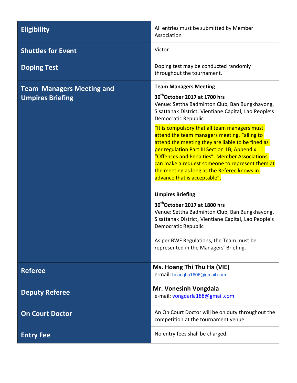**Shuttles for Event** Victor

**Team Managers Meeting and Umpires Briefing** 

**Eligibility Eligibility All entries must be submitted by Member** Association

**Doping Test** Doping test may be conducted randomly throughout the tournament.

### **Team Managers Meeting**

### **30thOctober 2017 at 1700 hrs**

Venue: Settha Badminton Club, Ban Bungkhayong, Sisattanak District, Vientiane Capital, Lao People's Democratic Republic

"It is compulsory that all team managers must attend the team managers meeting. Failing to attend the meeting they are liable to be fined as per regulation Part III Section 1B, Appendix 11 "Offences and Penalties". Member Associations can make a request someone to represent them at the meeting as long as the Referee knows in advance that is acceptable".

### **Umpires Briefing**

**30thOctober 2017 at 1800 hrs** Venue: Settha Badminton Club, Ban Bungkhayong, Sisattanak District, Vientiane Capital, Lao People's Democratic Republic

As per BWF Regulations, the Team must be represented in the Managers' Briefing.

**Referee Ms. Hoang Thi Thu Ha (VIE)**  e-mail: [hoangha1606@gmail.com](mailto:hoangha1606@gmail.com)

**Deputy Referee Mr. Vonesinh Vongdala** e-mail: [vongdarla188@gmail.com](mailto:vongdarla188@gmail.com)

**On Court Doctor** An On Court Doctor And Doctor will be on duty throughout the competition at the tournament venue.

**Entry Fee No. 2018 Entry Fee** Note that the state of the North State of No. 2019 **No. 2019 12:30 No. 2019 No. 2019 12:30 No. 2019 No. 2019 No. 2019 No. 2019 No. 2019 No. 2019 No. 2019 No. 2019 No. 20**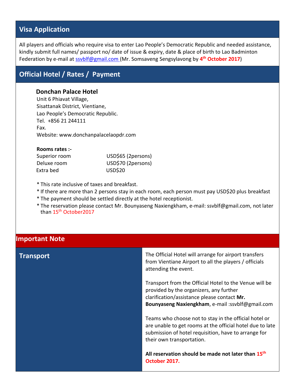# **Visa Application**

All players and officials who require visa to enter Lao People's Democratic Republic and needed assistance, kindly submit full names/ passport no/ date of issue & expiry, date & place of birth to Lao Badminton Federation by e-mail at [ssvblf@gmail.com \(](mailto:ssvblf@gmail.com)Mr. Somsaveng Sengsylavong by **4 th October 2017**)

# **Official Hotel / Rates / Payment**

### **Donchan Palace Hotel**

Unit 6 Phiavat Village, Sisattanak District, Vientiane, Lao People's Democratic Republic. Tel. +856 21 244111 Fax. Website: [www.donchanpalacelaopdr.com](http://www.donchanpalacelaopdr.com/)

| Rooms rates :- |                    |
|----------------|--------------------|
| Superior room  | USD\$65 (2persons) |
| Deluxe room    | USD\$70 (2persons) |
| Extra bed      | <b>USD\$20</b>     |

\* This rate inclusive of taxes and breakfast.

\* If there are more than 2 persons stay in each room, each person must pay USD\$20 plus breakfast

- \* The payment should be settled directly at the hotel receptionist.
- \* The reservation please contact Mr. Bounyaseng Naxiengkham, e-mail: [ssvblf@gmail.com,](mailto:ssvblf@gmail.com) not later than 15<sup>th</sup> October2017

### **Important Note**

**Transport** Transport **Transport** The Official Hotel will arrange for airport transfers from Vientiane Airport to all the players / officials attending the event.

> Transport from the Official Hotel to the Venue will be provided by the organizers, any further clarification/assistance please contact **Mr. Bounyaseng Naxiengkham**, [e-mail :ssvblf@gmail.com](mailto:ssvblf@gmail.com)

Teams who choose not to stay in the official hotel or are unable to get rooms at the official hotel due to late submission of hotel requisition, have to arrange for their own transportation.

**All reservation should be made not later than 15th October 2017.**